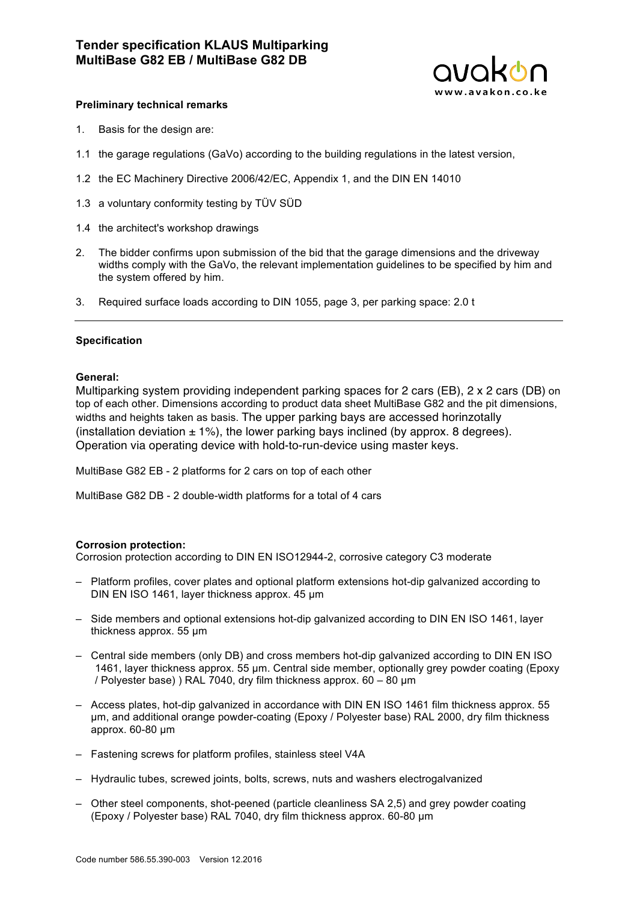

### **Preliminary technical remarks**

- 1. Basis for the design are:
- 1.1 the garage regulations (GaVo) according to the building regulations in the latest version,
- 1.2 the EC Machinery Directive 2006/42/EC, Appendix 1, and the DIN EN 14010
- 1.3 a voluntary conformity testing by TÜV SÜD
- 1.4 the architect's workshop drawings
- 2. The bidder confirms upon submission of the bid that the garage dimensions and the driveway widths comply with the GaVo, the relevant implementation guidelines to be specified by him and the system offered by him.
- 3. Required surface loads according to DIN 1055, page 3, per parking space: 2.0 t

#### **Specification**

#### **General:**

Multiparking system providing independent parking spaces for 2 cars (EB), 2 x 2 cars (DB) on top of each other. Dimensions according to product data sheet MultiBase G82 and the pit dimensions, widths and heights taken as basis. The upper parking bays are accessed horinzotally (installation deviation  $\pm$  1%), the lower parking bays inclined (by approx. 8 degrees). Operation via operating device with hold-to-run-device using master keys.

MultiBase G82 EB - 2 platforms for 2 cars on top of each other

MultiBase G82 DB - 2 double-width platforms for a total of 4 cars

#### **Corrosion protection:**

Corrosion protection according to DIN EN ISO12944-2, corrosive category C3 moderate

- Platform profiles, cover plates and optional platform extensions hot-dip galvanized according to DIN EN ISO 1461, layer thickness approx. 45 µm
- Side members and optional extensions hot-dip galvanized according to DIN EN ISO 1461, layer thickness approx. 55 µm
- Central side members (only DB) and cross members hot-dip galvanized according to DIN EN ISO 1461, layer thickness approx. 55 µm. Central side member, optionally grey powder coating (Epoxy / Polyester base) ) RAL 7040, dry film thickness approx. 60 – 80 µm
- Access plates, hot-dip galvanized in accordance with DIN EN ISO 1461 film thickness approx. 55 µm, and additional orange powder-coating (Epoxy / Polyester base) RAL 2000, dry film thickness approx. 60-80 µm
- Fastening screws for platform profiles, stainless steel V4A
- Hydraulic tubes, screwed joints, bolts, screws, nuts and washers electrogalvanized
- Other steel components, shot-peened (particle cleanliness SA 2,5) and grey powder coating (Epoxy / Polyester base) RAL 7040, dry film thickness approx. 60-80 µm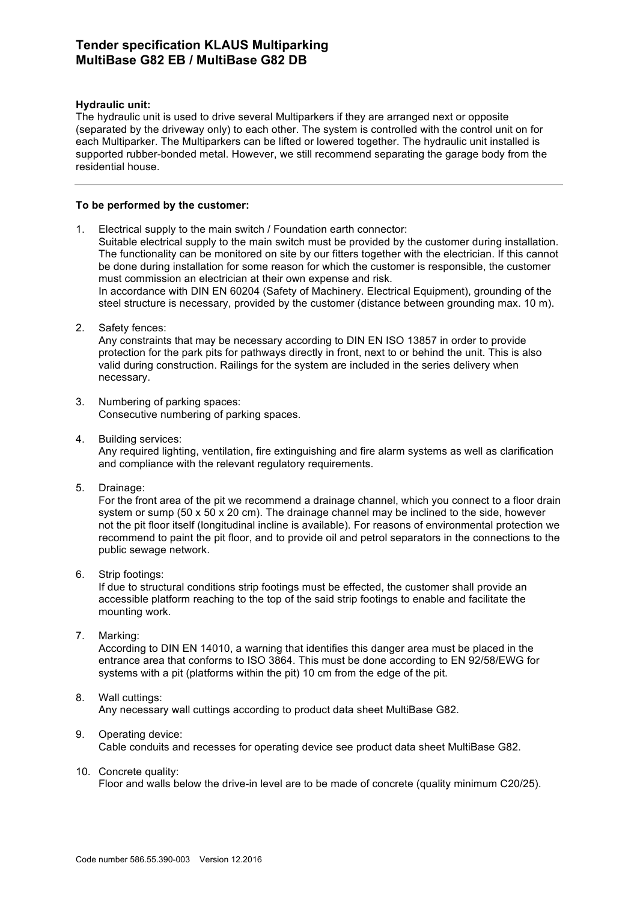# **Tender specification KLAUS Multiparking MultiBase G82 EB / MultiBase G82 DB**

### **Hydraulic unit:**

The hydraulic unit is used to drive several Multiparkers if they are arranged next or opposite (separated by the driveway only) to each other. The system is controlled with the control unit on for each Multiparker. The Multiparkers can be lifted or lowered together. The hydraulic unit installed is supported rubber-bonded metal. However, we still recommend separating the garage body from the residential house.

### **To be performed by the customer:**

- 1. Electrical supply to the main switch / Foundation earth connector: Suitable electrical supply to the main switch must be provided by the customer during installation. The functionality can be monitored on site by our fitters together with the electrician. If this cannot be done during installation for some reason for which the customer is responsible, the customer must commission an electrician at their own expense and risk. In accordance with DIN EN 60204 (Safety of Machinery. Electrical Equipment), grounding of the steel structure is necessary, provided by the customer (distance between grounding max. 10 m).
- 2. Safety fences:

Any constraints that may be necessary according to DIN EN ISO 13857 in order to provide protection for the park pits for pathways directly in front, next to or behind the unit. This is also valid during construction. Railings for the system are included in the series delivery when necessary.

- 3. Numbering of parking spaces: Consecutive numbering of parking spaces.
- 4. Building services: Any required lighting, ventilation, fire extinguishing and fire alarm systems as well as clarification and compliance with the relevant regulatory requirements.
- 5. Drainage:

For the front area of the pit we recommend a drainage channel, which you connect to a floor drain system or sump (50 x 50 x 20 cm). The drainage channel may be inclined to the side, however not the pit floor itself (longitudinal incline is available). For reasons of environmental protection we recommend to paint the pit floor, and to provide oil and petrol separators in the connections to the public sewage network.

6. Strip footings:

If due to structural conditions strip footings must be effected, the customer shall provide an accessible platform reaching to the top of the said strip footings to enable and facilitate the mounting work.

7. Marking:

According to DIN EN 14010, a warning that identifies this danger area must be placed in the entrance area that conforms to ISO 3864. This must be done according to EN 92/58/EWG for systems with a pit (platforms within the pit) 10 cm from the edge of the pit.

### 8. Wall cuttings:

Any necessary wall cuttings according to product data sheet MultiBase G82.

- 9. Operating device: Cable conduits and recesses for operating device see product data sheet MultiBase G82.
- 10. Concrete quality:

Floor and walls below the drive-in level are to be made of concrete (quality minimum C20/25).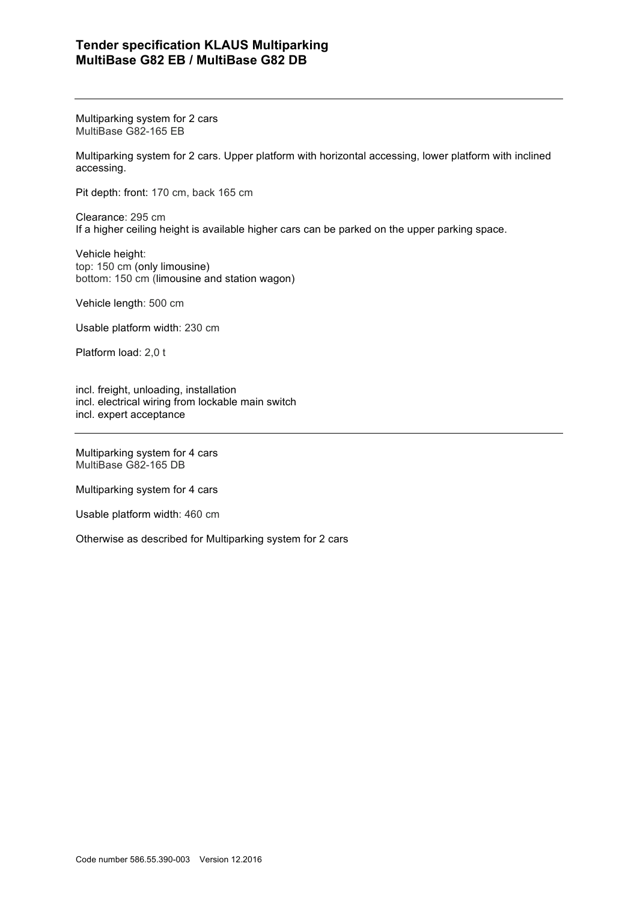# **Tender specification KLAUS Multiparking MultiBase G82 EB / MultiBase G82 DB**

Multiparking system for 2 cars MultiBase G82-165 EB

Multiparking system for 2 cars. Upper platform with horizontal accessing, lower platform with inclined accessing.

Pit depth: front: 170 cm, back 165 cm

Clearance: 295 cm If a higher ceiling height is available higher cars can be parked on the upper parking space.

Vehicle height: top: 150 cm (only limousine) bottom: 150 cm (limousine and station wagon)

Vehicle length: 500 cm

Usable platform width: 230 cm

Platform load: 2,0 t

incl. freight, unloading, installation incl. electrical wiring from lockable main switch incl. expert acceptance

Multiparking system for 4 cars MultiBase G82-165 DB

Multiparking system for 4 cars

Usable platform width: 460 cm

Otherwise as described for Multiparking system for 2 cars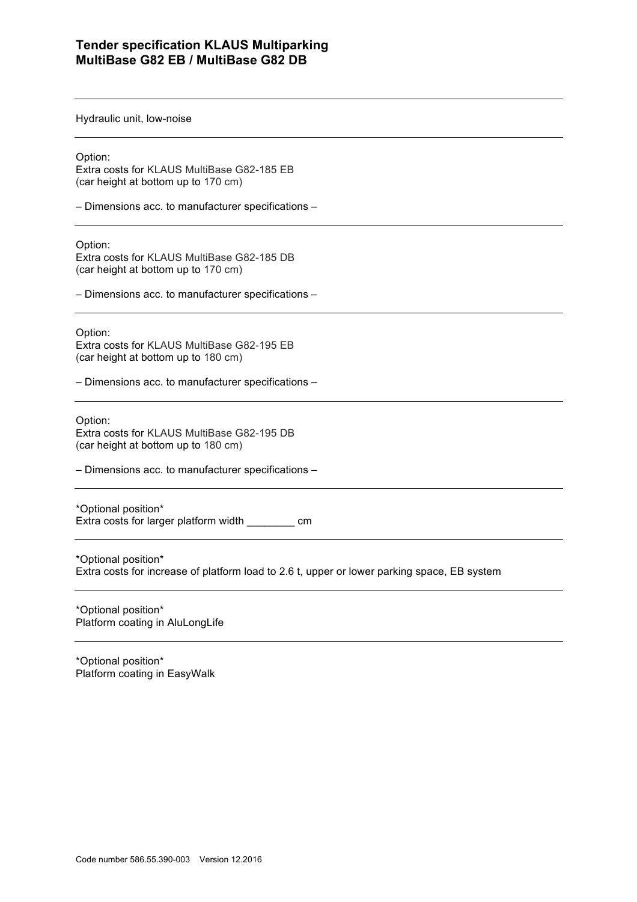### **Tender specification KLAUS Multiparking MultiBase G82 EB / MultiBase G82 DB**

Hydraulic unit, low-noise

Option:

Extra costs for KLAUS MultiBase G82-185 EB (car height at bottom up to 170 cm)

– Dimensions acc. to manufacturer specifications –

Option:

Extra costs for KLAUS MultiBase G82-185 DB (car height at bottom up to 170 cm)

– Dimensions acc. to manufacturer specifications –

Option: Extra costs for KLAUS MultiBase G82-195 EB (car height at bottom up to 180 cm)

– Dimensions acc. to manufacturer specifications –

Option: Extra costs for KLAUS MultiBase G82-195 DB (car height at bottom up to 180 cm)

– Dimensions acc. to manufacturer specifications –

\*Optional position\* Extra costs for larger platform width \_\_\_\_\_\_\_\_ cm

\*Optional position\* Extra costs for increase of platform load to 2.6 t, upper or lower parking space, EB system

\*Optional position\* Platform coating in AluLongLife

\*Optional position\* Platform coating in EasyWalk